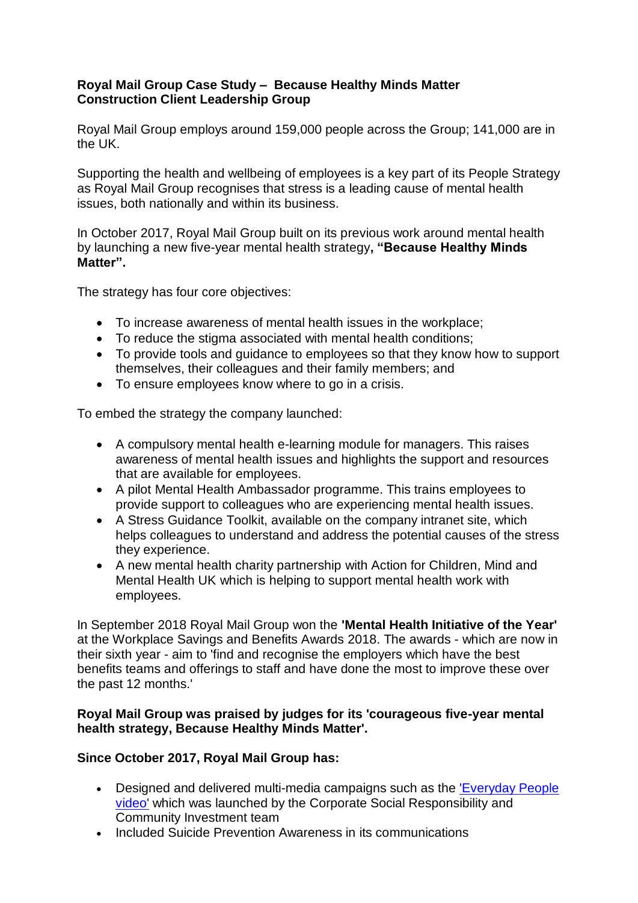## **Royal Mail Group Case Study – Because Healthy Minds Matter Construction Client Leadership Group**

Royal Mail Group employs around 159,000 people across the Group; 141,000 are in the UK.

Supporting the health and wellbeing of employees is a key part of its People Strategy as Royal Mail Group recognises that stress is a leading cause of mental health issues, both nationally and within its business.

In October 2017, Royal Mail Group built on its previous work around mental health by launching a new five-year mental health strategy**, "Because Healthy Minds Matter".** 

The strategy has four core objectives:

- To increase awareness of mental health issues in the workplace;
- To reduce the stigma associated with mental health conditions:
- To provide tools and guidance to employees so that they know how to support themselves, their colleagues and their family members; and
- To ensure employees know where to go in a crisis.

To embed the strategy the company launched:

- A compulsory mental health e-learning module for managers. This raises awareness of mental health issues and highlights the support and resources that are available for employees.
- A pilot Mental Health Ambassador programme. This trains employees to provide support to colleagues who are experiencing mental health issues.
- A Stress Guidance Toolkit, available on the company intranet site, which helps colleagues to understand and address the potential causes of the stress they experience.
- A new mental health charity partnership with Action for Children, Mind and Mental Health UK which is helping to support mental health work with employees.

In September 2018 Royal Mail Group won the **'Mental Health Initiative of the Year'** at the Workplace Savings and Benefits Awards 2018. The awards - which are now in their sixth year - aim to 'find and recognise the employers which have the best benefits teams and offerings to staff and have done the most to improve these over the past 12 months.'

## **Royal Mail Group was praised by judges for its 'courageous five-year mental health strategy, Because Healthy Minds Matter'.**

## **Since October 2017, Royal Mail Group has:**

- Designed and delivered multi-media campaigns such as the ['Everyday People](https://www.youtube.com/watch?v=j8RCFtTQ-xE)  [video'](https://www.youtube.com/watch?v=j8RCFtTQ-xE) which was launched by the Corporate Social Responsibility and Community Investment team
- Included Suicide Prevention Awareness in its communications